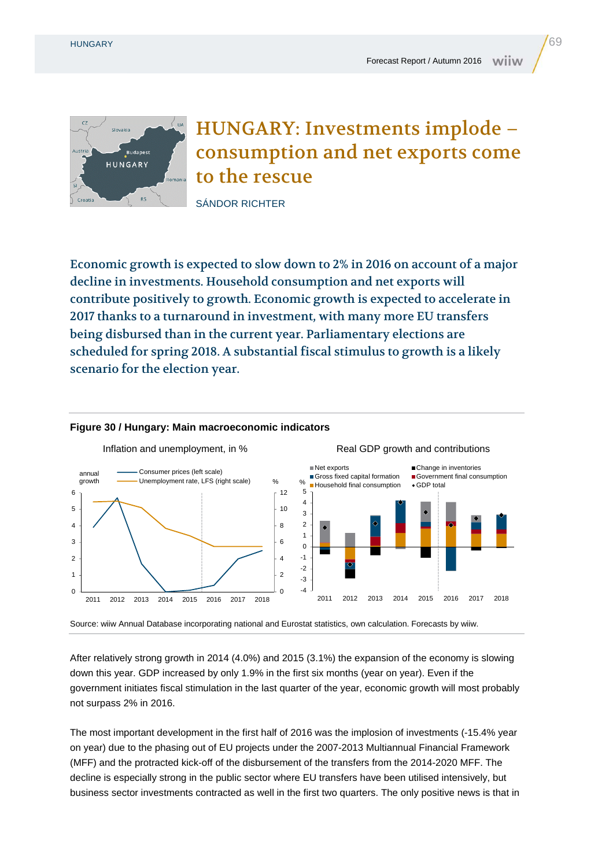

## HUNGARY: Investments implode – consumption and net exports come to the rescue

SÁNDOR RICHTER

Economic growth is expected to slow down to 2% in 2016 on account of a major decline in investments. Household consumption and net exports will contribute positively to growth. Economic growth is expected to accelerate in 2017 thanks to a turnaround in investment, with many more EU transfers being disbursed than in the current year. Parliamentary elections are scheduled for spring 2018. A substantial fiscal stimulus to growth is a likely scenario for the election year.

## **Figure 30 / Hungary: Main macroeconomic indicators**



Source: wiiw Annual Database incorporating national and Eurostat statistics, own calculation. Forecasts by wiiw.

After relatively strong growth in 2014 (4.0%) and 2015 (3.1%) the expansion of the economy is slowing down this year. GDP increased by only 1.9% in the first six months (year on year). Even if the government initiates fiscal stimulation in the last quarter of the year, economic growth will most probably not surpass 2% in 2016.

The most important development in the first half of 2016 was the implosion of investments (-15.4% year on year) due to the phasing out of EU projects under the 2007-2013 Multiannual Financial Framework (MFF) and the protracted kick-off of the disbursement of the transfers from the 2014-2020 MFF. The decline is especially strong in the public sector where EU transfers have been utilised intensively, but business sector investments contracted as well in the first two quarters. The only positive news is that in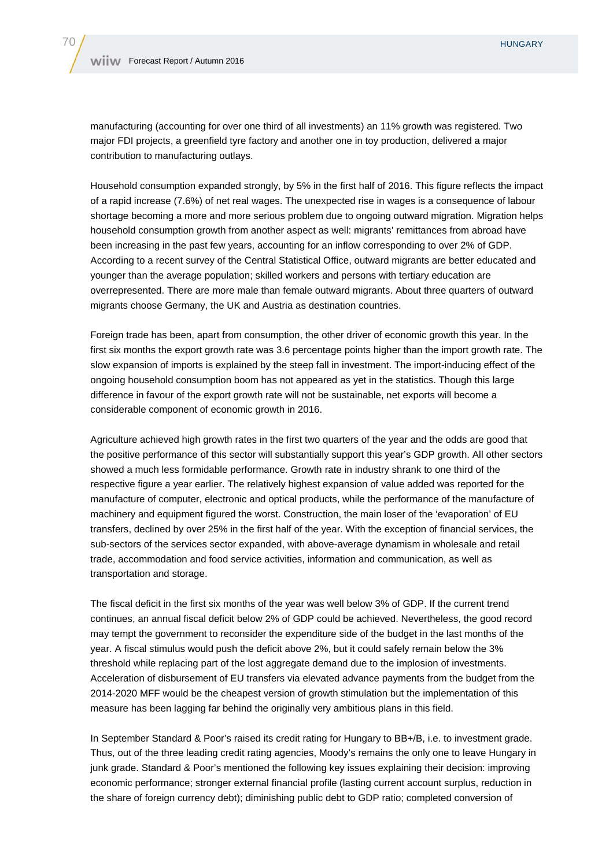manufacturing (accounting for over one third of all investments) an 11% growth was registered. Two major FDI projects, a greenfield tyre factory and another one in toy production, delivered a major contribution to manufacturing outlays.

Household consumption expanded strongly, by 5% in the first half of 2016. This figure reflects the impact of a rapid increase (7.6%) of net real wages. The unexpected rise in wages is a consequence of labour shortage becoming a more and more serious problem due to ongoing outward migration. Migration helps household consumption growth from another aspect as well: migrants' remittances from abroad have been increasing in the past few years, accounting for an inflow corresponding to over 2% of GDP. According to a recent survey of the Central Statistical Office, outward migrants are better educated and younger than the average population; skilled workers and persons with tertiary education are overrepresented. There are more male than female outward migrants. About three quarters of outward migrants choose Germany, the UK and Austria as destination countries.

Foreign trade has been, apart from consumption, the other driver of economic growth this year. In the first six months the export growth rate was 3.6 percentage points higher than the import growth rate. The slow expansion of imports is explained by the steep fall in investment. The import-inducing effect of the ongoing household consumption boom has not appeared as yet in the statistics. Though this large difference in favour of the export growth rate will not be sustainable, net exports will become a considerable component of economic growth in 2016.

Agriculture achieved high growth rates in the first two quarters of the year and the odds are good that the positive performance of this sector will substantially support this year's GDP growth. All other sectors showed a much less formidable performance. Growth rate in industry shrank to one third of the respective figure a year earlier. The relatively highest expansion of value added was reported for the manufacture of computer, electronic and optical products, while the performance of the manufacture of machinery and equipment figured the worst. Construction, the main loser of the 'evaporation' of EU transfers, declined by over 25% in the first half of the year. With the exception of financial services, the sub-sectors of the services sector expanded, with above-average dynamism in wholesale and retail trade, accommodation and food service activities, information and communication, as well as transportation and storage.

The fiscal deficit in the first six months of the year was well below 3% of GDP. If the current trend continues, an annual fiscal deficit below 2% of GDP could be achieved. Nevertheless, the good record may tempt the government to reconsider the expenditure side of the budget in the last months of the year. A fiscal stimulus would push the deficit above 2%, but it could safely remain below the 3% threshold while replacing part of the lost aggregate demand due to the implosion of investments. Acceleration of disbursement of EU transfers via elevated advance payments from the budget from the 2014-2020 MFF would be the cheapest version of growth stimulation but the implementation of this measure has been lagging far behind the originally very ambitious plans in this field.

In September Standard & Poor's raised its credit rating for Hungary to BB+/B, i.e. to investment grade. Thus, out of the three leading credit rating agencies, Moody's remains the only one to leave Hungary in junk grade. Standard & Poor's mentioned the following key issues explaining their decision: improving economic performance; stronger external financial profile (lasting current account surplus, reduction in the share of foreign currency debt); diminishing public debt to GDP ratio; completed conversion of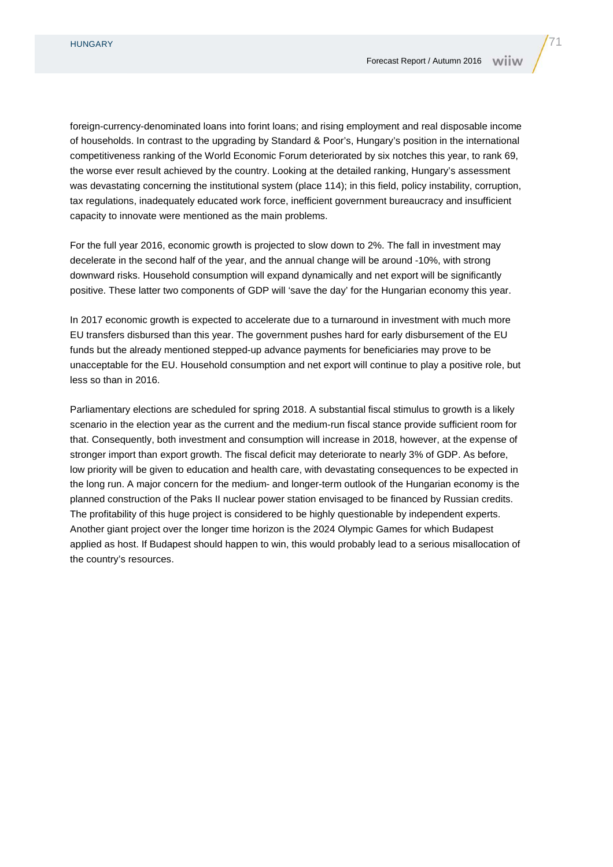foreign-currency-denominated loans into forint loans; and rising employment and real disposable income of households. In contrast to the upgrading by Standard & Poor's, Hungary's position in the international competitiveness ranking of the World Economic Forum deteriorated by six notches this year, to rank 69, the worse ever result achieved by the country. Looking at the detailed ranking, Hungary's assessment was devastating concerning the institutional system (place 114); in this field, policy instability, corruption, tax regulations, inadequately educated work force, inefficient government bureaucracy and insufficient capacity to innovate were mentioned as the main problems.

For the full year 2016, economic growth is projected to slow down to 2%. The fall in investment may decelerate in the second half of the year, and the annual change will be around -10%, with strong downward risks. Household consumption will expand dynamically and net export will be significantly positive. These latter two components of GDP will 'save the day' for the Hungarian economy this year.

In 2017 economic growth is expected to accelerate due to a turnaround in investment with much more EU transfers disbursed than this year. The government pushes hard for early disbursement of the EU funds but the already mentioned stepped-up advance payments for beneficiaries may prove to be unacceptable for the EU. Household consumption and net export will continue to play a positive role, but less so than in 2016.

Parliamentary elections are scheduled for spring 2018. A substantial fiscal stimulus to growth is a likely scenario in the election year as the current and the medium-run fiscal stance provide sufficient room for that. Consequently, both investment and consumption will increase in 2018, however, at the expense of stronger import than export growth. The fiscal deficit may deteriorate to nearly 3% of GDP. As before, low priority will be given to education and health care, with devastating consequences to be expected in the long run. A major concern for the medium- and longer-term outlook of the Hungarian economy is the planned construction of the Paks II nuclear power station envisaged to be financed by Russian credits. The profitability of this huge project is considered to be highly questionable by independent experts. Another giant project over the longer time horizon is the 2024 Olympic Games for which Budapest applied as host. If Budapest should happen to win, this would probably lead to a serious misallocation of the country's resources.